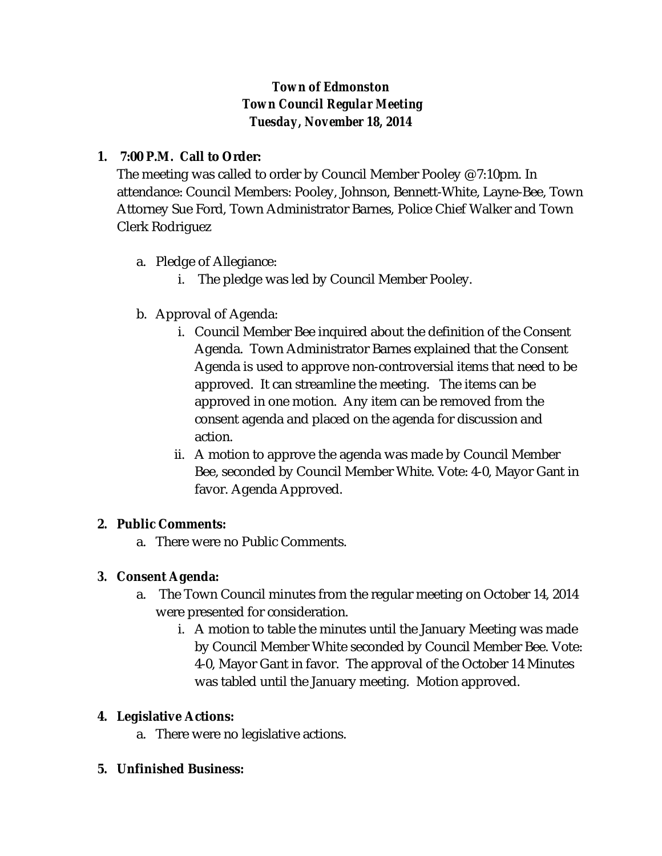# *Town of Edmonston Town Council Regular Meeting Tuesday, November 18, 2014*

## **1. 7:00 P.M. Call to Order:**

The meeting was called to order by Council Member Pooley @ 7:10pm. In attendance: Council Members: Pooley, Johnson, Bennett-White, Layne-Bee, Town Attorney Sue Ford, Town Administrator Barnes, Police Chief Walker and Town Clerk Rodriguez

- a. Pledge of Allegiance:
	- i. The pledge was led by Council Member Pooley.
- b. Approval of Agenda:
	- i. Council Member Bee inquired about the definition of the Consent Agenda. Town Administrator Barnes explained that the Consent Agenda is used to approve non-controversial items that need to be approved. It can streamline the meeting. The items can be approved in one motion. Any item can be removed from the consent agenda and placed on the agenda for discussion and action.
	- ii. A motion to approve the agenda was made by Council Member Bee, seconded by Council Member White. Vote: 4-0, Mayor Gant in favor. Agenda Approved.

## **2. Public Comments:**

a. There were no Public Comments.

## *3.* **Consent Agenda:**

- a. The Town Council minutes from the regular meeting on October 14, 2014 were presented for consideration.
	- i. A motion to table the minutes until the January Meeting was made by Council Member White seconded by Council Member Bee. Vote: 4-0, Mayor Gant in favor. The approval of the October 14 Minutes was tabled until the January meeting. Motion approved.

## **4. Legislative Actions:**

a. There were no legislative actions.

## **5. Unfinished Business:**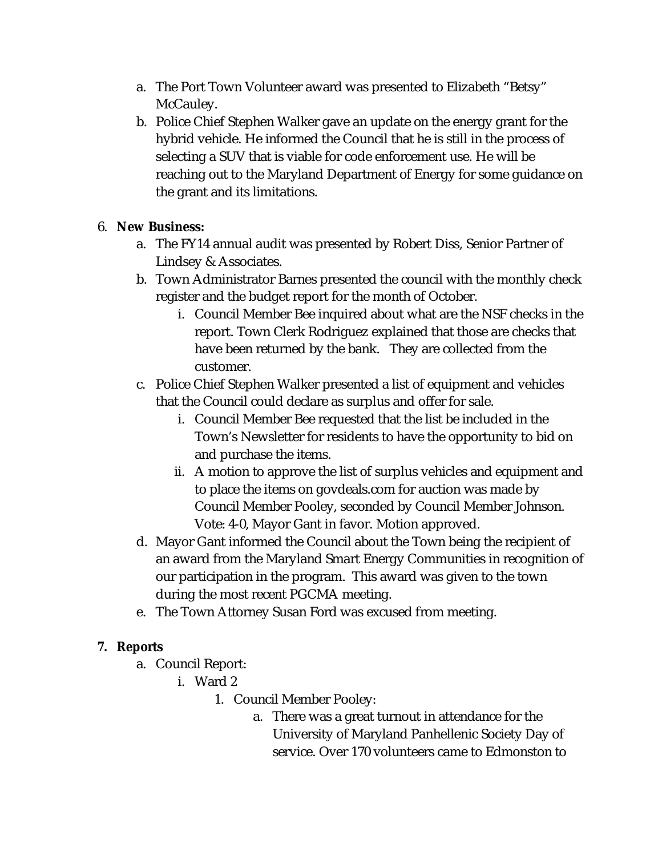- a. The Port Town Volunteer award was presented to Elizabeth "Betsy" McCauley.
- b. Police Chief Stephen Walker gave an update on the energy grant for the hybrid vehicle. He informed the Council that he is still in the process of selecting a SUV that is viable for code enforcement use. He will be reaching out to the Maryland Department of Energy for some guidance on the grant and its limitations.

## 6. **New Business:**

- a. The FY14 annual audit was presented by Robert Diss, Senior Partner of Lindsey & Associates.
- b. Town Administrator Barnes presented the council with the monthly check register and the budget report for the month of October.
	- i. Council Member Bee inquired about what are the NSF checks in the report. Town Clerk Rodriguez explained that those are checks that have been returned by the bank. They are collected from the customer.
- c. Police Chief Stephen Walker presented a list of equipment and vehicles that the Council could declare as surplus and offer for sale.
	- i. Council Member Bee requested that the list be included in the Town's Newsletter for residents to have the opportunity to bid on and purchase the items.
	- ii. A motion to approve the list of surplus vehicles and equipment and to place the items on govdeals.com for auction was made by Council Member Pooley, seconded by Council Member Johnson. Vote: 4-0, Mayor Gant in favor. Motion approved.
- d. Mayor Gant informed the Council about the Town being the recipient of an award from the Maryland Smart Energy Communities in recognition of our participation in the program. This award was given to the town during the most recent PGCMA meeting.
- e. The Town Attorney Susan Ford was excused from meeting.

## **7. Reports**

- a. Council Report:
	- i. Ward 2
		- 1. Council Member Pooley:
			- a. There was a great turnout in attendance for the University of Maryland Panhellenic Society Day of service. Over 170 volunteers came to Edmonston to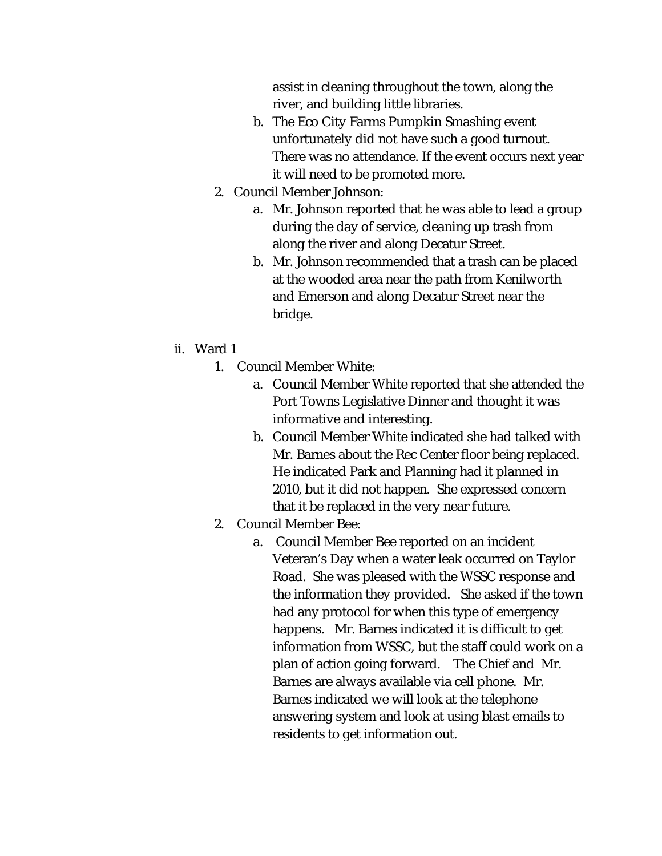assist in cleaning throughout the town, along the river, and building little libraries.

- b. The Eco City Farms Pumpkin Smashing event unfortunately did not have such a good turnout. There was no attendance. If the event occurs next year it will need to be promoted more.
- 2. Council Member Johnson:
	- a. Mr. Johnson reported that he was able to lead a group during the day of service, cleaning up trash from along the river and along Decatur Street.
	- b. Mr. Johnson recommended that a trash can be placed at the wooded area near the path from Kenilworth and Emerson and along Decatur Street near the bridge.
- ii. Ward 1
	- 1. Council Member White:
		- a. Council Member White reported that she attended the Port Towns Legislative Dinner and thought it was informative and interesting.
		- b. Council Member White indicated she had talked with Mr. Barnes about the Rec Center floor being replaced. He indicated Park and Planning had it planned in 2010, but it did not happen. She expressed concern that it be replaced in the very near future.
	- 2. Council Member Bee:
		- a. Council Member Bee reported on an incident Veteran's Day when a water leak occurred on Taylor Road. She was pleased with the WSSC response and the information they provided. She asked if the town had any protocol for when this type of emergency happens. Mr. Barnes indicated it is difficult to get information from WSSC, but the staff could work on a plan of action going forward. The Chief and Mr. Barnes are always available via cell phone. Mr. Barnes indicated we will look at the telephone answering system and look at using blast emails to residents to get information out.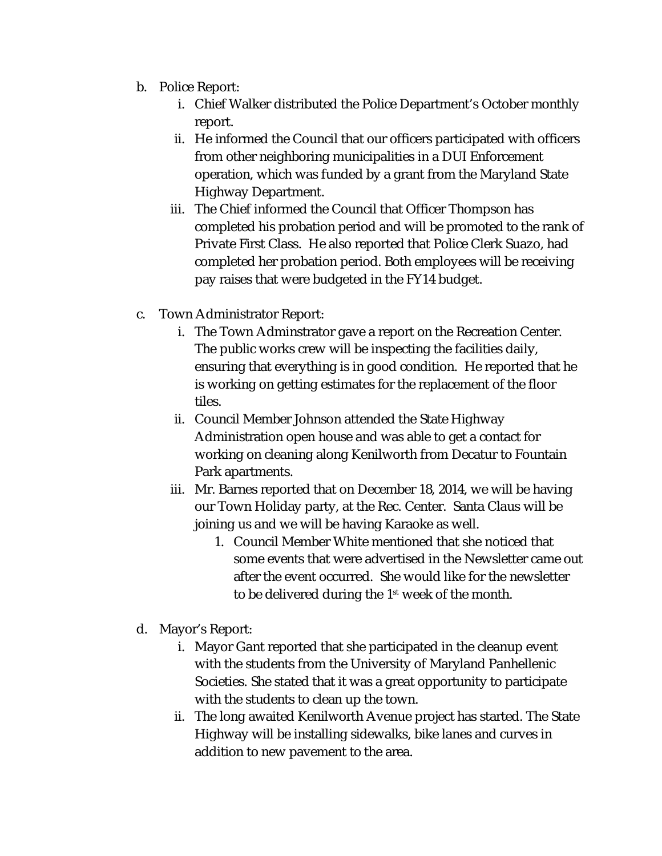- b. Police Report:
	- i. Chief Walker distributed the Police Department's October monthly report.
	- ii. He informed the Council that our officers participated with officers from other neighboring municipalities in a DUI Enforcement operation, which was funded by a grant from the Maryland State Highway Department.
	- iii. The Chief informed the Council that Officer Thompson has completed his probation period and will be promoted to the rank of Private First Class. He also reported that Police Clerk Suazo, had completed her probation period. Both employees will be receiving pay raises that were budgeted in the FY14 budget.
- c. Town Administrator Report:
	- i. The Town Adminstrator gave a report on the Recreation Center. The public works crew will be inspecting the facilities daily, ensuring that everything is in good condition. He reported that he is working on getting estimates for the replacement of the floor tiles.
	- ii. Council Member Johnson attended the State Highway Administration open house and was able to get a contact for working on cleaning along Kenilworth from Decatur to Fountain Park apartments.
	- iii. Mr. Barnes reported that on December 18, 2014, we will be having our Town Holiday party, at the Rec. Center. Santa Claus will be joining us and we will be having Karaoke as well.
		- 1. Council Member White mentioned that she noticed that some events that were advertised in the Newsletter came out after the event occurred. She would like for the newsletter to be delivered during the 1st week of the month.
- d. Mayor's Report:
	- i. Mayor Gant reported that she participated in the cleanup event with the students from the University of Maryland Panhellenic Societies. She stated that it was a great opportunity to participate with the students to clean up the town.
	- ii. The long awaited Kenilworth Avenue project has started. The State Highway will be installing sidewalks, bike lanes and curves in addition to new pavement to the area.